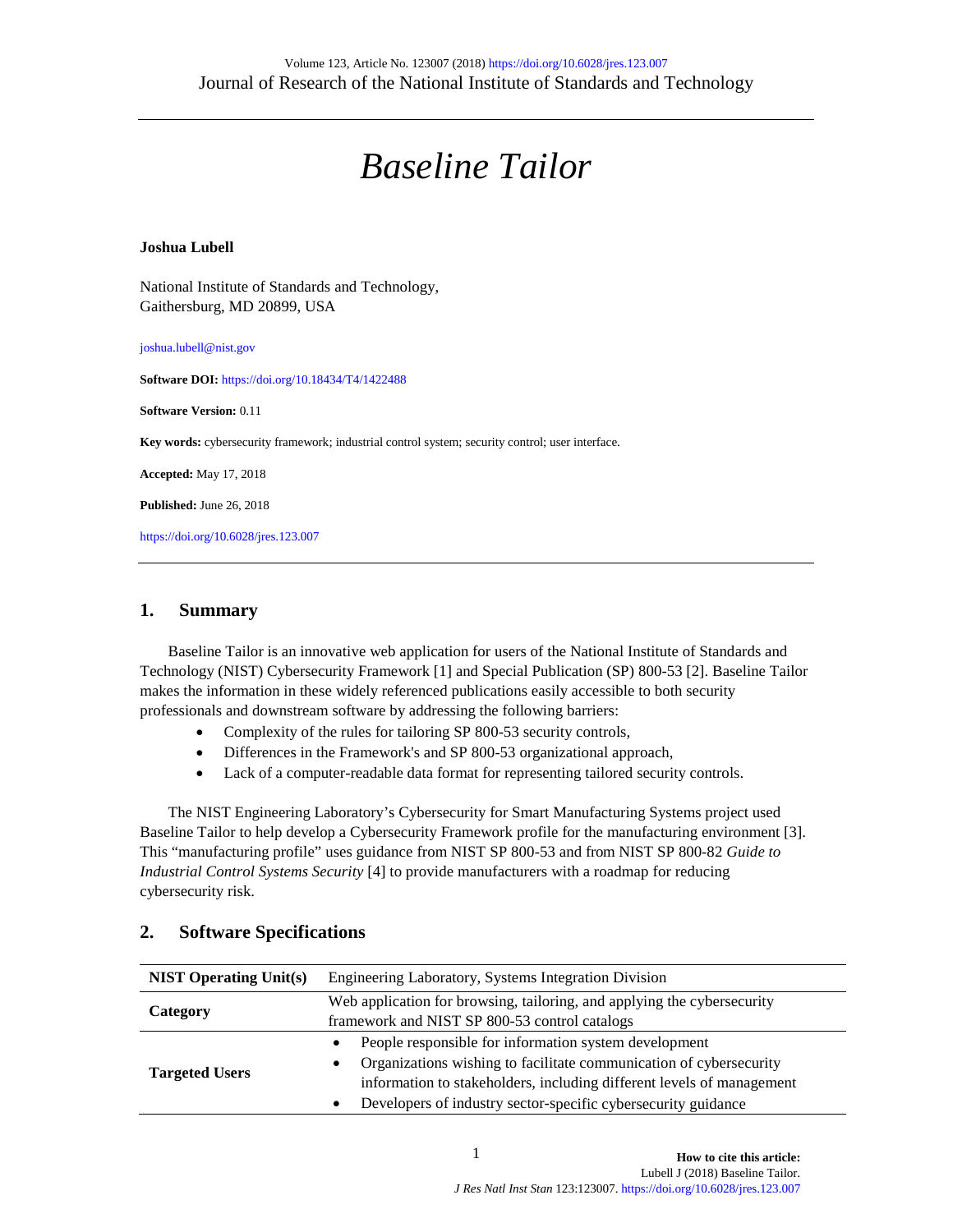# *Baseline Tailor*

#### **Joshua Lubell**

National Institute of Standards and Technology, Gaithersburg, MD 20899, USA

joshua.lubell@nist.gov

**Software DOI:** <https://doi.org/10.18434/T4/1422488>

**Software Version:** 0.11

**Key words:** cybersecurity framework; industrial control system; security control; user interface.

**Accepted:** May 17, 2018

**Published:** June 26, 2018

<https://doi.org/10.6028/jres.123.007>

#### **1. Summary**

Baseline Tailor is an innovative web application for users of the National Institute of Standards and Technology (NIST) Cybersecurity Framework [1] and Special Publication (SP) 800-53 [\[2\].](#page-1-0) Baseline Tailor makes the information in these widely referenced publications easily accessible to both security professionals and downstream software by addressing the following barriers:

- Complexity of the rules for tailoring SP 800-53 security controls,
- Differences in the Framework's and SP 800-53 organizational approach,
- Lack of a computer-readable data format for representing tailored security controls.

The NIST Engineering Laboratory's Cybersecurity for Smart Manufacturing Systems project used Baseline Tailor to help develop a Cybersecurity Framework profile for the manufacturing environment [3]. This "manufacturing profile" uses guidance from NIST SP 800-53 and from NIST SP 800-82 *Guide to Industrial Control Systems Security* [\[4\]](#page-1-1) to provide manufacturers with a roadmap for reducing cybersecurity risk.

| <b>NIST Operating Unit(s)</b> | Engineering Laboratory, Systems Integration Division                            |
|-------------------------------|---------------------------------------------------------------------------------|
| Category                      | Web application for browsing, tailoring, and applying the cybersecurity         |
|                               | framework and NIST SP 800-53 control catalogs                                   |
| <b>Targeted Users</b>         | People responsible for information system development<br>$\bullet$              |
|                               | Organizations wishing to facilitate communication of cybersecurity<br>$\bullet$ |
|                               | information to stakeholders, including different levels of management           |
|                               | Developers of industry sector-specific cybersecurity guidance<br>٠              |

# **2. Software Specifications**